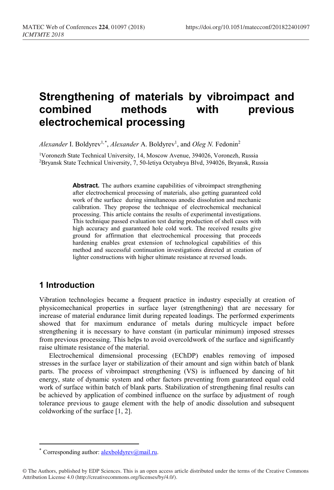# **Strengthening of materials by vibroimpact and combined methods with previous electrochemical processing**

Alexander I. Boldyrev<sup>1,[\\*](#page-0-0)</sup>, Alexander A. Boldyrev<sup>1</sup>, and Oleg N. Fedonin<sup>2</sup>

1Voronezh State Technical University, 14, Moscow Avenue, 394026, Voronezh, Russia 2Bryansk State Technical University, 7, 50-letiya Octyabrya Blvd, 394026, Bryansk, Russia

> **Abstract.** The authors examine capabilities of vibroimpact strengthening after electrochemical processing of materials, also getting guaranteed cold work of the surface during simultaneous anodic dissolution and mechanic calibration. They propose the technique of electrochemical mechanical processing. This article contains the results of experimental investigations. This technique passed evaluation test during production of shell cases with high accuracy and guaranteed hole cold work. The received results give ground for affirmation that electrochemical processing that proceeds hardening enables great extension of technological capabilities of this method and successful continuation investigations directed at creation of lighter constructions with higher ultimate resistance at reversed loads.

### **1 Introduction**

 $\overline{a}$ 

Vibration technologies became a frequent practice in industry especially at creation of physicomechanical properties in surface layer (strengthening) that are necessary for increase of material endurance limit during repeated loadings. The performed experiments showed that for maximum endurance of metals during multicycle impact before strengthening it is necessary to have constant (in particular minimum) imposed stresses from previous processing. This helps to avoid overcoldwork of the surface and significantly raise ultimate resistance of the material.

Electrochemical dimensional processing (EChDP) enables removing of imposed stresses in the surface layer or stabilization of their amount and sign within batch of blank parts. The process of vibroimpact strengthening (VS) is influenced by dancing of hit energy, state of dynamic system and other factors preventing from guaranteed equal cold work of surface within batch of blank parts. Stabilization of strengthening final results can be achieved by application of combined influence on the surface by adjustment of rough tolerance previous to gauge element with the help of anodic dissolution and subsequent coldworking of the surface [1, 2].

Corresponding author: [alexboldyrev@mail.ru.](mailto:alexboldyrev@mail.ru)

<span id="page-0-0"></span><sup>©</sup> The Authors, published by EDP Sciences. This is an open access article distributed under the terms of the Creative Commons Attribution License 4.0 (http://creativecommons.org/licenses/by/4.0/).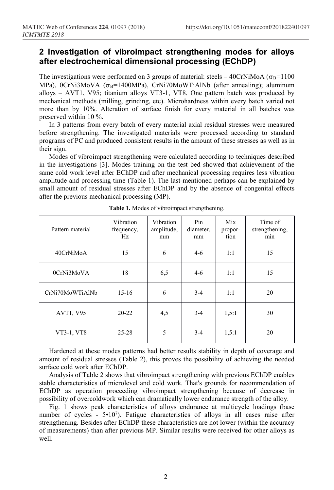## **2 Investigation of vibroimpact strengthening modes for alloys after electrochemical dimensional processing (EChDP)**

The investigations were performed on 3 groups of material: steels – 40CrNiMoA ( $\sigma_B$ =1100 MPa), 0CrNi3MoVA ( $\sigma_B$ =1400MPa), CrNi70MoWTiAlNb (after annealing); aluminum alloys – AVT1, V95; titanium alloys VT3-1, VT8. One pattern batch was produced by mechanical methods (milling, grinding, etc). Microhardness within every batch varied not more than by 10%. Alteration of surface finish for every material in all batches was preserved within 10 %.

In 3 patterns from every batch of every material axial residual stresses were measured before strengthening. The investigated materials were processed according to standard programs of PC and produced consistent results in the amount of these stresses as well as in their sign.

Modes of vibroimpact strengthening were calculated according to techniques described in the investigations [3]. Modes training on the test bed showed that achievement of the same cold work level after EChDP and after mechanical processing requires less vibration amplitude and processing time (Table 1). The last-mentioned perhaps can be explained by small amount of residual stresses after EChDP and by the absence of congenital effects after the previous mechanical processing (MP).

| Pattern material | Vibration<br>frequency,<br>Hz | Vibration<br>amplitude,<br>mm | Pin<br>diameter,<br>mm | Mix<br>propor-<br>tion | Time of<br>strengthening,<br>min |  |
|------------------|-------------------------------|-------------------------------|------------------------|------------------------|----------------------------------|--|
| 40CrNiMoA        | 15                            | 6                             | $4-6$                  | 1:1                    | 15                               |  |
| 0CrNi3MoVA       | 18                            | 6,5                           | $4-6$                  | 1:1                    | 15                               |  |
| CrNi70MoWTiAlNb  | $15-16$                       | 6                             | $3 - 4$                | 1:1                    | 20                               |  |
| AVT1, V95        | $20 - 22$                     | 4,5                           | $3-4$                  | 1,5:1                  | 30                               |  |
| VT3-1, VT8       | $25 - 28$                     | 5                             | $3 - 4$                | 1,5:1                  | 20                               |  |

**Table 1.** Modes of vibroimpact strengthening.

Hardened at these modes patterns had better results stability in depth of coverage and amount of residual stresses (Table 2), this proves the possibility of achieving the needed surface cold work after EChDP.

Analysis of Table 2 shows that vibroimpact strengthening with previous EChDP enables stable characteristics of microlevel and cold work. That's grounds for recommendation of EChDP as operation proceeding vibroimpact strengthening because of decrease in possibility of overcoldwork which can dramatically lower endurance strength of the alloy.

Fig. 1 shows peak characteristics of alloys endurance at multicycle loadings (base number of cycles - 5•10<sup>7</sup>). Fatigue characteristics of alloys in all cases raise after strengthening. Besides after EChDP these characteristics are not lower (within the accuracy of measurements) than after previous MP. Similar results were received for other alloys as well.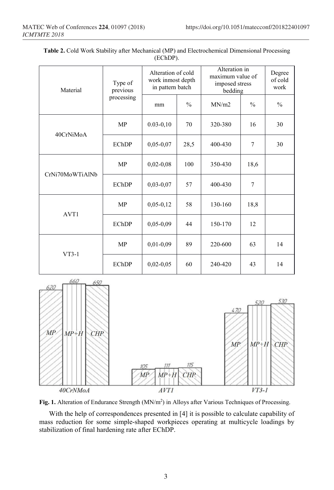| Material        | Type of<br>previous<br>processing | Alteration of cold<br>work inmost depth<br>in pattern batch |               | Alteration in<br>maximum value of<br>imposed stress<br>bedding |                | Degree<br>of cold<br>work |
|-----------------|-----------------------------------|-------------------------------------------------------------|---------------|----------------------------------------------------------------|----------------|---------------------------|
|                 |                                   | mm                                                          | $\frac{0}{0}$ | MN/m2                                                          | $\frac{0}{0}$  | $\frac{0}{0}$             |
| 40CrNiMoA       | <b>MP</b>                         | $0.03 - 0.10$                                               | 70            | 320-380                                                        | 16             | 30                        |
|                 | <b>EChDP</b>                      | $0,05-0,07$                                                 | 28,5          | 400-430                                                        | 7              | 30                        |
| CrNi70MoWTiAlNb | <b>MP</b>                         | $0,02-0,08$                                                 | 100           | 350-430                                                        | 18,6           |                           |
|                 | <b>EChDP</b>                      | $0,03-0,07$                                                 | 57            | 400-430                                                        | $\overline{7}$ |                           |
| AVT1            | <b>MP</b>                         | $0,05-0,12$                                                 | 58            | 130-160                                                        | 18,8           |                           |
|                 | <b>EChDP</b>                      | $0,05-0,09$                                                 | 44            | 150-170                                                        | 12             |                           |
| $VT3-1$         | MP                                | $0,01-0,09$                                                 | 89            | 220-600                                                        | 63             | 14                        |
|                 | <b>EChDP</b>                      | $0,02-0,05$                                                 | 60            | 240-420                                                        | 43             | 14                        |







With the help of correspondences presented in [4] it is possible to calculate capability of mass reduction for some simple-shaped workpieces operating at multicycle loadings by stabilization of final hardening rate after EChDP.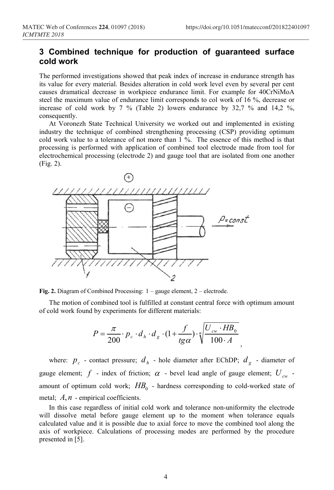## **3 Combined technique for production of guaranteed surface cold work**

The performed investigations showed that peak index of increase in endurance strength has its value for every material. Besides alteration in cold work level even by several per cent causes dramatical decrease in workpiece endurance limit. For example for 40CrNiMoA steel the maximum value of endurance limit corresponds to col work of 16 %, decrease or increase of cold work by 7 % (Table 2) lowers endurance by 32,7 % and 14,2 %, consequently.

At Voronezh State Technical University we worked out and implemented in existing industry the technique of combined strengthening processing (CSP) providing optimum cold work value to a tolerance of not more than 1 %. The essence of this method is that processing is performed with application of combined tool electrode made from tool for electrochemical processing (electrode 2) and gauge tool that are isolated from one another (Fig. 2).



**Fig. 2.** Diagram of Combined Processing: 1 – gauge element, 2 – electrode.

The motion of combined tool is fulfilled at constant central force with optimum amount of cold work found by experiments for different materials:

$$
P = \frac{\pi}{200} \cdot p_c \cdot d_h \cdot d_g \cdot (1 + \frac{f}{tg\alpha}) \cdot \sqrt[n]{\frac{U_{cw} \cdot HB_0}{100 \cdot A}}
$$

where:  $p_c$  - contact pressure;  $d_h$  - hole diameter after EChDP;  $d_e$  - diameter of gauge element; *f* - index of friction;  $\alpha$  - bevel lead angle of gauge element;  $U_{cw}$  amount of optimum cold work;  $HB<sub>0</sub>$  - hardness corresponding to cold-worked state of metal; *A*, *n* - empirical coefficients.

In this case regardless of initial cold work and tolerance non-uniformity the electrode will dissolve metal before gauge element up to the moment when tolerance equals calculated value and it is possible due to axial force to move the combined tool along the axis of workpiece. Calculations of processing modes are performed by the procedure presented in [5].